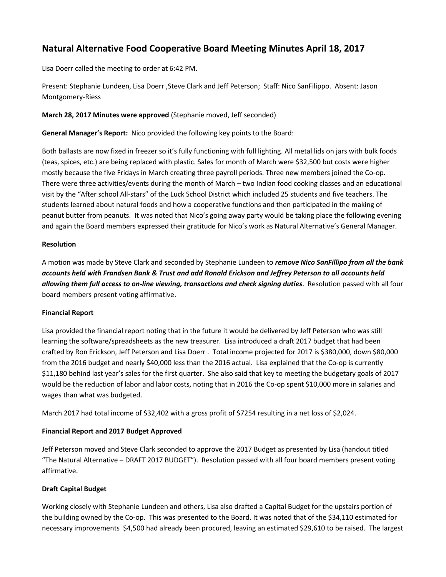# **Natural Alternative Food Cooperative Board Meeting Minutes April 18, 2017**

Lisa Doerr called the meeting to order at 6:42 PM.

Present: Stephanie Lundeen, Lisa Doerr ,Steve Clark and Jeff Peterson; Staff: Nico SanFilippo. Absent: Jason Montgomery-Riess

**March 28, 2017 Minutes were approved** (Stephanie moved, Jeff seconded)

**General Manager's Report:** Nico provided the following key points to the Board:

Both ballasts are now fixed in freezer so it's fully functioning with full lighting. All metal lids on jars with bulk foods (teas, spices, etc.) are being replaced with plastic. Sales for month of March were \$32,500 but costs were higher mostly because the five Fridays in March creating three payroll periods. Three new members joined the Co-op. There were three activities/events during the month of March – two Indian food cooking classes and an educational visit by the "After school All-stars" of the Luck School District which included 25 students and five teachers. The students learned about natural foods and how a cooperative functions and then participated in the making of peanut butter from peanuts. It was noted that Nico's going away party would be taking place the following evening and again the Board members expressed their gratitude for Nico's work as Natural Alternative's General Manager.

# **Resolution**

A motion was made by Steve Clark and seconded by Stephanie Lundeen to *remove Nico SanFillipo from all the bank accounts held with Frandsen Bank & Trust and add Ronald Erickson and Jeffrey Peterson to all accounts held allowing them full access to on-line viewing, transactions and check signing duties*. Resolution passed with all four board members present voting affirmative.

# **Financial Report**

Lisa provided the financial report noting that in the future it would be delivered by Jeff Peterson who was still learning the software/spreadsheets as the new treasurer. Lisa introduced a draft 2017 budget that had been crafted by Ron Erickson, Jeff Peterson and Lisa Doerr . Total income projected for 2017 is \$380,000, down \$80,000 from the 2016 budget and nearly \$40,000 less than the 2016 actual. Lisa explained that the Co-op is currently \$11,180 behind last year's sales for the first quarter. She also said that key to meeting the budgetary goals of 2017 would be the reduction of labor and labor costs, noting that in 2016 the Co-op spent \$10,000 more in salaries and wages than what was budgeted.

March 2017 had total income of \$32,402 with a gross profit of \$7254 resulting in a net loss of \$2,024.

# **Financial Report and 2017 Budget Approved**

Jeff Peterson moved and Steve Clark seconded to approve the 2017 Budget as presented by Lisa (handout titled "The Natural Alternative – DRAFT 2017 BUDGET"). Resolution passed with all four board members present voting affirmative.

# **Draft Capital Budget**

Working closely with Stephanie Lundeen and others, Lisa also drafted a Capital Budget for the upstairs portion of the building owned by the Co-op. This was presented to the Board. It was noted that of the \$34,110 estimated for necessary improvements \$4,500 had already been procured, leaving an estimated \$29,610 to be raised. The largest